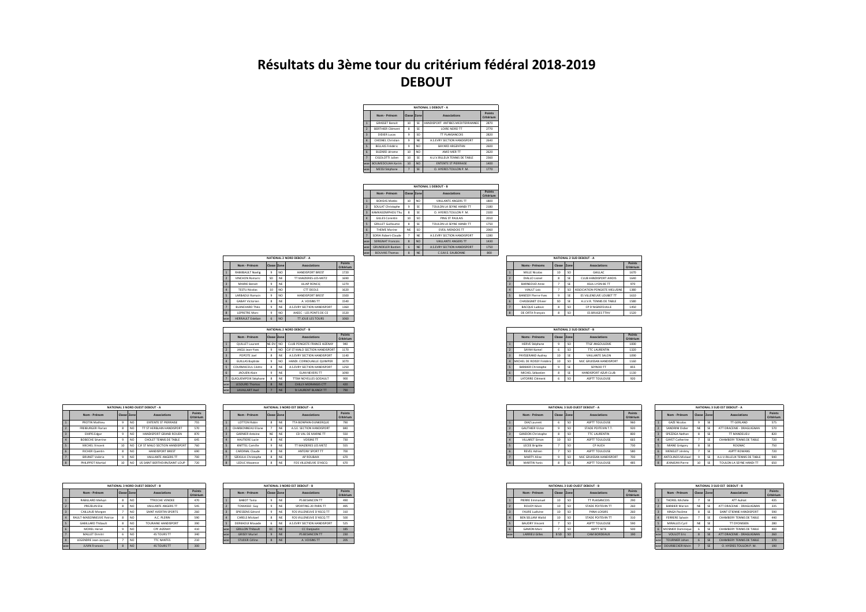## Résultats du 3ème tour du critérium fédéral 2018-2019 **DEBOUT**

|           |                         |             |                | NATIONAL 1 DEROUT - A            |                     |
|-----------|-------------------------|-------------|----------------|----------------------------------|---------------------|
|           | Nom - Prénom            | Classe Zone |                | Associations                     | Points<br>Critérium |
|           | <b>GRASSET Report</b>   | 10          | SF             | HANDISPORT ANTIRES MEDITERRANNEE | 2870                |
|           | <b>BERTHIER Clément</b> | Ř           | SF             | LOIRE NORD TT                    | 2770                |
|           | <b>DIDIER Lucas</b>     | $\ddot{q}$  | SO.            | TT PLANSANCOIS                   | 2820                |
| ś         | CHESNEL Christian       | ۹           | NF             | A S EVRY SECTION HANDISPORT      | 2640                |
|           | <b>RELLAIS Frédéric</b> | $\ddot{q}$  | NO             | <b>RAYARD ARGENTAN</b>           | 2600                |
| ŝ.        | <b>BUZARD Jérome</b>    | 10          | NO             | AMO MER TT                       | 2620                |
| ٠         | CIGOLOTTI Iulien        | 10          | SF             | A.U.V.RILLEUX TENNIS DE TABLE    | 2360                |
| œ         | <b>BOUMEDOUHA Karim</b> | 10          | N <sub>0</sub> | <b>ENTENTE ST PIERRAISE</b>      | 1400                |
| <b>DC</b> | MESSI Stéphane          |             | SE             | O HYERES TOULON P M              | 1770                |

|     |                          |                |                 | NATIONAL 1 DEBOUT - B       |                     |
|-----|--------------------------|----------------|-----------------|-----------------------------|---------------------|
|     | Nom - Prénom             | Classe Zone    |                 | Associations                | Points<br>Critérium |
|     | <b>BOHEAS Matéo</b>      | 10             | NO              | VAILLANTE ANGERS TT         | 1800                |
|     | SOULAT Christophe        | ۹              | SE              | TOULON LA SEYNE HANDLTT     | 2180                |
|     | ΚΑΜΚΑΝΟΜΡΗΟΙΙ ΤΗΙ        | Ř              | SF              | O. HYERES TOULON P.M.       | 2100                |
|     | <b>GILLES Corentin</b>   | 10             | SO.             | PING ST PALILAIS            | 2010                |
|     | <b>GRILLET Guillaume</b> | R              | SE              | TOULON LA SEYNE HANDI TT    | 1750                |
|     | THEME Marine             | NE             | SO.             | <b>EVEIL MENDOIS TT</b>     | 2060                |
|     | SORIA Robert-Claude      | $\overline{ }$ | NF              | A.S.EVRY SECTION HANDISPORT | 1280                |
| ÷   | <b>SERIGNAT Francois</b> | $\mathbf{R}$   | NO <sub>1</sub> | VAILLANTE ANGERS TT         | 1430                |
| ÷   | <b>GRUNDELER Bastien</b> | ĥ.             | <b>NE</b>       | A S EVRY SECTION HANDISPORT | 1750                |
| se. | <b>ROUVAIS Thomas</b>    | $\mathbf{R}$   | <b>NF</b>       | C S M F FAURONNE            | 800                 |

|                         |                         |                |           | NATIONAL 2 NORD DEROUT - A  |                     |
|-------------------------|-------------------------|----------------|-----------|-----------------------------|---------------------|
|                         | Nom - Prénom            | Classe Zone    |           | Associations                | Points<br>Critérium |
| h,                      | RAIMBAULT Noelig        | ۹              | NO        | HANDISPORT RREST            | 1720                |
| $\overline{2}$          | VINCHON Romaric         | SD             | NF        | TT MAIZIERES-LES-METZ       | 1690                |
| $\overline{a}$          | MAIRIF Rennit           | 9              | NF        | ULIAP RONCO                 | 1270                |
| $\Delta$                | <b>TESTU Nicolas</b>    | 10             | NO        | CTT DEOLS                   | 1620                |
| $\overline{\mathbf{S}}$ | LARRAOLII Romain        | ۹              | NO        | HANDISPORT RREST            | 1500                |
| ĥ.                      | <b>GARAY Victorien</b>  | Ř              | NE        | A VOISINS TT                | 1540                |
| $\overline{z}$          | <b>BLANCHARD Théo</b>   | $\ddot{q}$     | NF        | A S EVRY SECTION HANDISPORT | 1360                |
| $\mathbf{R}$            | <b>LEPRETRE Marc</b>    | $\overline{9}$ | NO        | AAEEC - LES PONTS DE CE     | 1520                |
| woe                     | <b>HERRAULT Esteban</b> | 6              | <b>NO</b> | <b>TT JOUE LES TOURS</b>    | 1060                |
|                         |                         |                |           |                             |                     |

NATIONAL 2 NORD DEBOUT - B lasse Zone

8 NE A S EVRY SECT

8 NE TTSM N

 $E-DV$  NO  $9.90$  CIE

 $9$  NO  $8$  NE  $9 NE$ 

 $7 NF$ 

Associ

1090

 $000$ 

Nom - Pr

POPOTE Inc

**GUILLAS Bar** 

|                |                            |        |                 | NATIONAL 2 SUD DEBOUT - A     |                     |
|----------------|----------------------------|--------|-----------------|-------------------------------|---------------------|
|                | Noms - Prénoms             | Classe | <b>Zone</b>     | Associations                  | Points<br>Critérium |
|                | MILLE Nicolas              | 10     | SO <sub>1</sub> | GAILLAC.                      | 1670                |
| $\mathcal{L}$  | DIALLO Linnel              | 8      | SE              | CLUB HANDISPORT AIXOIS        | 1640                |
| $\overline{z}$ | <b>BARNEOUD Anne</b>       | ž      | ¢               | ASHL I YON RF TT              | 970                 |
| A              | VIAULT Loir                | ž      | so              | ASSOCIATION PONGISTE MELUSINE | 1380                |
| <b>K</b>       | <b>RANESSY Pierre-Yues</b> | 9      | ¢               | ES VILLENELIVE LOURET TT      | 1610                |
| $\mathbf{g}$   | CHASSIGNET Olivier         | sn     | ¢               | A LLV R. TENNIS DE TARLE      | 1580                |
| $\overline{2}$ | <b>BACQUE Ludovic</b>      | 8      | SO <sub>1</sub> | CP D'AIGREFFLIILLE            | 1450                |
| $\mathbf{R}$   | DE ORTA Francois           | 8      | SO <sub>1</sub> | <b>FS BRUGES TTHV</b>         | 1520                |

|    |                           |        |                 | NATIONAL 2 SUD DEBOUT - B |                     |
|----|---------------------------|--------|-----------------|---------------------------|---------------------|
|    | Noms - Prénoms            | Classe | Zone            | Associations              | Points<br>Critériun |
|    | <b>HERVE Stéphane</b>     | ٩      | so              | <b>TTGF ANGOLIL FMF</b>   | 1000                |
|    | SAYAH Kamel               | 6      | so              | <b>TTC LAURENTIN</b>      | 1320                |
|    | PAYSSERAND Audrey         | 10     | ¢               | VAILLANTE SALON           | 1090                |
|    | MICHEL DE ROISSY Frédéric | 10     | SO <sub>1</sub> | MJC GRUISSAN HANDISPORT   | 1160                |
|    | <b>BARBIER Christophe</b> | ٩      | ¢               | SEYNOD TT                 | 855                 |
| ß, | MICHEL Sébastien          | ×      | ¢               | HANDISPORT AZUR CLUB      | 1130                |
|    | LATORRE Clément           | 6      | SO <sub>1</sub> | <b>ASPTT TOULOUSE</b>     | 920                 |

|                |                          |                     |                 | NATIONAL 3 SUD OUEST DEBOUT - A |                     |
|----------------|--------------------------|---------------------|-----------------|---------------------------------|---------------------|
|                | Nom - Prénom             | Classe              | Zone            | Associations                    | Points<br>Critérium |
|                | DIA7 Laurent             | 6                   | SO <sub>1</sub> | <b>ASPTT TOULOUSE</b>           | 960                 |
|                | <b>GALITHIER Victor</b>  | 9                   | SO <sub>1</sub> | STADE POITEVIN T.T.             | 920                 |
| $\overline{a}$ | <b>GANDON Christophe</b> | $\mathbf{\hat{x}}$  | so              | <b>TTC LAURENTIN</b>            | 800                 |
|                | VIII ARFT Simon          | 10                  | SO <sub>1</sub> | <b>ASPTT TOULOUSE</b>           | 665                 |
| <b>S</b>       | <b>LECEE Brigitte</b>    |                     | SO <sub>1</sub> | CP AUCH                         | 730                 |
| ĥ              | <b>REVEL Adrien</b>      | $\boldsymbol{\tau}$ | SO <sub>1</sub> | <b>ASPTT TOULOUSE</b>           | 580                 |
| ٠              | MARTY Aline              | 9                   | so              | MIC GRUISSAN HANDISPORT         | 700                 |
| ×              | MARTIN Yanis             | ×                   | SO <sub>1</sub> | <b>ASPTT TOULOUSE</b>           | 485                 |

|                    |                          |             |    | <b>NATIONAL 3 SUD EST DEBOUT - A</b> |                     |
|--------------------|--------------------------|-------------|----|--------------------------------------|---------------------|
|                    | Nom - Prénom             | Classe Zone |    | Associations                         | Points<br>Critérium |
| $\overline{1}$     | <b>GAZE Nicolas</b>      | $\ddot{q}$  | SF | <b>TT GERLAND</b>                    | 575                 |
| $\overline{z}$     | SANDRINI Didier          | NF          | SF | ATT DRACENIE - DRAGUIGNAN            | 570                 |
| $\overline{z}$     | SPEZZIGA Nathan          | Ŕ           | SF | TT MANDELIELL                        | 820                 |
| $\Delta$           | <b>GAYET Catherine</b>   |             | SF | CHAMBERY TENNIS DE TABLE             | 720                 |
| $\leq$             | MIANE Grégory            | Ŕ           | SF | ROGNAC                               | 750                 |
| f.                 | MENELET Jérémy           | 7           | SF | <b>ASPTT ROMANS</b>                  | 720                 |
| z                  | <b>ANTOLINOS Mickael</b> | $\ddot{q}$  | SF | A.U.V.RILLEUX TENNIS DE TABLE        | 940                 |
| $\mathbf{\hat{x}}$ | <b>JEANJEAN Pierre</b>   | 10          | SE | TOULON LA SEYNE HANDI TT             | 650                 |
|                    |                          |             |    |                                      |                     |

|                | Nom - Prénom            | Classe          | Zone            | Associations      | Points<br>Critérium |
|----------------|-------------------------|-----------------|-----------------|-------------------|---------------------|
|                | PIERRE Emmanuel         | 10              | so              | TT PLAISANCOIS    | 290                 |
|                | ROUDY Kévin             | 10              | SO <sub>1</sub> | STADE POITEVIN TT | 260                 |
| $\overline{a}$ | <b>FAURE Ludivine</b>   | 10              | so              | PANA-LOISIRS      | 260                 |
|                | <b>REN SELLAM Walid</b> | 10              | so              | STADE POITEVIN TT | 310                 |
|                | <b>RAUDRY Vincent</b>   |                 | so              | ASPTT TOULOUSE    | 590                 |
| ß,             | <b>GAMON Marc</b>       |                 | so              | <b>ASPTT SFTF</b> | 500                 |
| woe            | <b>LARRIEU Gilles</b>   | 8 <sub>SD</sub> | <sub>SO</sub>   | CAM BORDEAUX      | 190                 |

|                |                          |              |    | NATIONAL 3 SUD EST DEBOUT - B |                     |
|----------------|--------------------------|--------------|----|-------------------------------|---------------------|
|                | Nom - Prénom             | Classe Zone  |    | Associations                  | Points<br>Critérium |
|                | THOREL Michèle           | 7            | SF | ATT Aulnat                    | 435                 |
| $\mathcal{P}$  | <b>RARRIER Marion</b>    | NF           | SF | ATT DRACENIE - DRAGUIGNAN     | 335                 |
| $\overline{z}$ | KINGA Pacôme             | Ŕ            | SF | SAINT FTIENNE HANDISPORT      | 590                 |
| ×              | <b>FERRERE Sylvain</b>   | 7            | SF | CHAMBERY TENNIS DE TARLE      | 440                 |
| $\leq$         | MIRALLES Cyril           | NF           | SE | <b>TT DYONISIEN</b>           | 280                 |
| ĥ              | <b>MOSNIER Dominique</b> | Á            | SF | CHAMBERY TENNIS DE TABLE      | 400                 |
| woe            | VOLILOT Fric             | $\mathbf{R}$ | SE | ATT DRACENIE - DRAGUIGNAN     | 260                 |
| woe            | <b>TOURNIER Johan</b>    | f.           | SE | CHAMBERY TENNIS DE TABLE      | 370                 |
| woe            | DOURRECKER Kévin         |              | SE | O HYERES TOULON P M           | 190                 |

|              | Nom - Prénom              | Classe Zone |                | Associations                   | Points<br>Critérium |
|--------------|---------------------------|-------------|----------------|--------------------------------|---------------------|
|              | PROTIN Mathieur           | ۹           | NO <sub></sub> | <b>ENTENTE ST PIERRAISE</b>    | 755                 |
|              | <b>FREIBURGER Florian</b> | R           | NO             | TT ST HERRI AIN HANDISPORT     | 570                 |
| ä            | <b>EMPIS Edgar</b>        | ٩           | NO             | HANDISPORT GRAND ROUEN         | 870                 |
| A            | <b>BOBECHE Séverine</b>   | ٩           | NO             | CHOLET TENNIS DE TABLE         | 645                 |
| ĸ            | MICHEL Vincent            | 10          | NO             | CJF ST MALO SECTION HANDISPORT | 760                 |
| ĥ.           | <b>RICHER Quentin</b>     | Ŕ           | NO             | <b>HANDISPORT BREST</b>        | 690                 |
|              | <b>RRUNET Valérie</b>     | 9           | NO             | VAILLANTE ANGERS TT            | 700                 |
| $\mathbf{R}$ | PHILIPPOT Martial         | 10          | NO.            | US SAINT BERTHEVIN/SAINT LOUP  | 720                 |

|                |                            |              |             | NATIONAL 3 NORD OUEST DEBOUT - B |                     |                |                    |
|----------------|----------------------------|--------------|-------------|----------------------------------|---------------------|----------------|--------------------|
|                | Nom - Prénom               |              | Classe Zone | <b>Associations</b>              | Points<br>Critérium |                | Nom - Pr           |
|                | RABILLARD Melwn            | 8            | NO          | <b>TTROCHE VENDEE</b>            | 470                 |                | RAROT <sup>*</sup> |
| $\overline{2}$ | PREZELIN Flie              | Ř            | NO          | VAILLANTE ANGERS TT              | <b>545</b>          | $\mathfrak{D}$ | <b>TOMASS</b>      |
| $\overline{3}$ | CAILLAUD Morgen            | 7            | NO          | SAINT AVERTIN SPORTS             | 260                 | $\overline{3}$ | <b>SPIESSENS</b>   |
|                | RAULT-MAISONNELIVE Patrice | 8            | NO          | AC PIERIN                        | 590                 | $\Delta$       | CARELS M           |
| K              | GARILLARD Thibault         | 8            | NO          | TOURAINE HANDISPORT              | 390                 |                | DERKAOUI           |
| ĥ.             | MOREL Hervé                | 9            | NO          | CPE AIZENAY                      | 410                 | woe            | <b>GRILLON T</b>   |
| <b>z</b>       | MALLET Dimitri             | 6            | NO          | <b>4S TOURS TT</b>               | 340                 | woe            | <b>GRISEY N</b>    |
| $\mathbf{R}$   | LEGENDRE Jean-Jacques      | 7            | NO          | <b>TTC NANTES</b>                | 210                 | woe            | <b>STUDER</b>      |
| woe            | <b>JUVIN Francois</b>      | $\mathbf{R}$ | NO.         | <b>4S TOURS TT</b>               | 300                 |                |                    |

|                |                        |             |    | NATIONAL 3 NORD EST DEBOUT - A |                     |
|----------------|------------------------|-------------|----|--------------------------------|---------------------|
|                | Nom - Prénom           | Classe Zone |    | Associations                   | Points<br>Critérium |
|                | <b>LOTTON Robin</b>    | R           | NF | TTA BONPAIN-DUNKERQUE          | 790                 |
|                | CHARRONNEAU Fliane     | 7           | NF | AS F. SECTION HANDISPORT       | 840                 |
| $\overline{a}$ | <b>GARNIER Antoine</b> | NF          | NF | CD VAL DE MARNE TT             | 550                 |
| $\lambda$      | HALITIERE Lucie        | Ř           | NF | VOISINS TT                     | 730                 |
| K)             | KNITTEL Camille        | ۹           | NF | TT MAIZIERES LES METZ          | 555                 |
| ĥ.             | CARDINAL Claude        | Ř           | NF | ANTONY SPORT TT                | 700                 |
|                | SZEKULA Christophe     | Ř           | NF | AP ROURAIX                     | 670                 |
| $\mathbf{R}$   | LEDUC Maxence          | 8           | NE | FOS VILLENEUVE D'ASCO          | 670                 |

|                |                         |              |           | NATIONAL 3 NORD EST DEBOUT - B |                     |
|----------------|-------------------------|--------------|-----------|--------------------------------|---------------------|
|                | Nom - Prénom            | Classe Zone  |           | Associations                   | Points<br>Critérium |
| ٦              | <b>RAROT Tanja</b>      | ۹            | NF        | PS RESANCON TT                 | 490                 |
| $\overline{2}$ | TOMASSO Guv             | 9            | <b>NF</b> | SPORTING 20 PARIS TT           | 495                 |
| $\overline{3}$ | <b>SPIESSENS Gérard</b> | 9            | <b>NF</b> | FOS VILLENEUVE D'ASCO TT       | 310                 |
| $\Delta$       | <b>CARELS Mickael</b>   | 8            | <b>NF</b> | FOS VILLENEUVE D'ASCO TT       | 500                 |
| K)             | DERKAOUI Mouade         | 6            | NF        | A S EVRY SECTION HANDISPORT    | 525                 |
| woe            | <b>GRILLON Thibault</b> | EC           | <b>NE</b> | <b>CC Danioutin</b>            | <b>185</b>          |
| woe            | <b>GRISEY Muriel</b>    | $\ddot{q}$   | <b>NF</b> | PS BESANCON TT                 | 230                 |
| woe            | <b>STUDER Céline</b>    | $\mathbf{R}$ | <b>NE</b> | A VOISINS TT                   | 205                 |